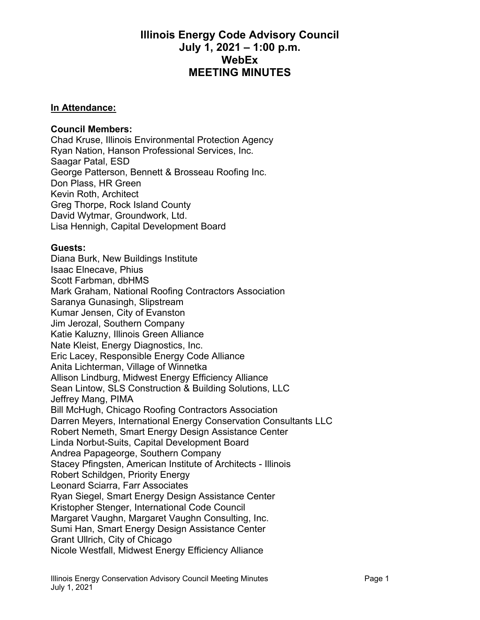## **Illinois Energy Code Advisory Council July 1, 2021 – 1:00 p.m. WebEx MEETING MINUTES**

## **In Attendance:**

## **Council Members:**

Chad Kruse, Illinois Environmental Protection Agency Ryan Nation, Hanson Professional Services, Inc. Saagar Patal, ESD George Patterson, Bennett & Brosseau Roofing Inc. Don Plass, HR Green Kevin Roth, Architect Greg Thorpe, Rock Island County David Wytmar, Groundwork, Ltd. Lisa Hennigh, Capital Development Board

## **Guests:**

Diana Burk, New Buildings Institute Isaac Elnecave, Phius Scott Farbman, dbHMS Mark Graham, National Roofing Contractors Association Saranya Gunasingh, Slipstream Kumar Jensen, City of Evanston Jim Jerozal, Southern Company Katie Kaluzny, Illinois Green Alliance Nate Kleist, Energy Diagnostics, Inc. Eric Lacey, Responsible Energy Code Alliance Anita Lichterman, Village of Winnetka Allison Lindburg, Midwest Energy Efficiency Alliance Sean Lintow, SLS Construction & Building Solutions, LLC Jeffrey Mang, PIMA Bill McHugh, Chicago Roofing Contractors Association Darren Meyers, International Energy Conservation Consultants LLC Robert Nemeth, Smart Energy Design Assistance Center Linda Norbut-Suits, Capital Development Board Andrea Papageorge, Southern Company Stacey Pfingsten, American Institute of Architects - Illinois Robert Schildgen, Priority Energy Leonard Sciarra, Farr Associates Ryan Siegel, Smart Energy Design Assistance Center Kristopher Stenger, International Code Council Margaret Vaughn, Margaret Vaughn Consulting, Inc. Sumi Han, Smart Energy Design Assistance Center Grant Ullrich, City of Chicago Nicole Westfall, Midwest Energy Efficiency Alliance